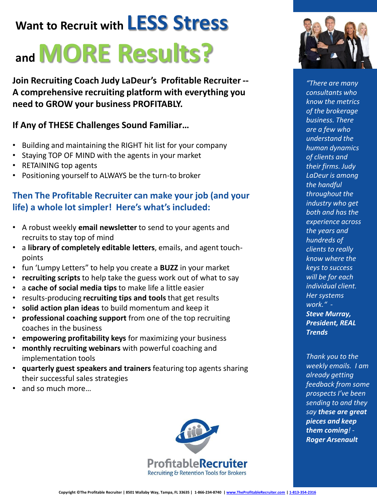## **Want to Recruit with LESS Stress**

# **and MORE Results?**

**Join Recruiting Coach Judy LaDeur's Profitable Recruiter -- A comprehensive recruiting platform with everything you need to GROW your business PROFITABLY.** 

## **If Any of THESE Challenges Sound Familiar…**

- Building and maintaining the RIGHT hit list for your company
- Staying TOP OF MIND with the agents in your market
- RETAINING top agents
- Positioning yourself to ALWAYS be the turn-to broker

## **Then The Profitable Recruiter can make your job (and your life) a whole lot simpler! Here's what's included:**

- A robust weekly **email newsletter** to send to your agents and recruits to stay top of mind
- a **library of completely editable letters**, emails, and agent touchpoints
- fun 'Lumpy Letters" to help you create a **BUZZ** in your market
- **recruiting scripts** to help take the guess work out of what to say
- a **cache of social media tips** to make life a little easier
- results-producing **recruiting tips and tools** that get results
- **solid action plan ideas** to build momentum and keep it
- **professional coaching support** from one of the top recruiting coaches in the business
- **empowering profitability keys** for maximizing your business
- **monthly recruiting webinars** with powerful coaching and implementation tools
- **quarterly guest speakers and trainers** featuring top agents sharing their successful sales strategies
- and so much more…





*"There are many consultants who know the metrics of the brokerage business. There are a few who understand the human dynamics of clients and their firms. Judy LaDeur is among the handful throughout the industry who get both and has the experience across the years and hundreds of clients to really know where the keys to success will be for each individual client. Her systems work." - Steve Murray, President, REAL Trends*

*Thank you to the weekly emails. I am already getting feedback from some prospects I've been sending to and they say these are great pieces and keep them coming! - Roger Arsenault*